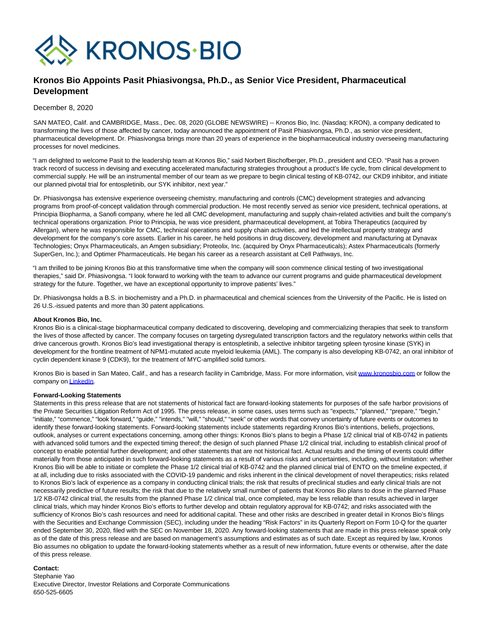

## **Kronos Bio Appoints Pasit Phiasivongsa, Ph.D., as Senior Vice President, Pharmaceutical Development**

December 8, 2020

SAN MATEO, Calif. and CAMBRIDGE, Mass., Dec. 08, 2020 (GLOBE NEWSWIRE) -- Kronos Bio, Inc. (Nasdaq: KRON), a company dedicated to transforming the lives of those affected by cancer, today announced the appointment of Pasit Phiasivongsa, Ph.D., as senior vice president, pharmaceutical development. Dr. Phiasivongsa brings more than 20 years of experience in the biopharmaceutical industry overseeing manufacturing processes for novel medicines.

"I am delighted to welcome Pasit to the leadership team at Kronos Bio," said Norbert Bischofberger, Ph.D., president and CEO. "Pasit has a proven track record of success in devising and executing accelerated manufacturing strategies throughout a product's life cycle, from clinical development to commercial supply. He will be an instrumental member of our team as we prepare to begin clinical testing of KB-0742, our CKD9 inhibitor, and initiate our planned pivotal trial for entospletinib, our SYK inhibitor, next year."

Dr. Phiasivongsa has extensive experience overseeing chemistry, manufacturing and controls (CMC) development strategies and advancing programs from proof-of-concept validation through commercial production. He most recently served as senior vice president, technical operations, at Principia Biopharma, a Sanofi company, where he led all CMC development, manufacturing and supply chain-related activities and built the company's technical operations organization. Prior to Principia, he was vice president, pharmaceutical development, at Tobira Therapeutics (acquired by Allergan), where he was responsible for CMC, technical operations and supply chain activities, and led the intellectual property strategy and development for the company's core assets. Earlier in his career, he held positions in drug discovery, development and manufacturing at Dynavax Technologies; Onyx Pharmaceuticals, an Amgen subsidiary; Proteolix, Inc. (acquired by Onyx Pharmaceuticals); Astex Pharmaceuticals (formerly SuperGen, Inc.); and Optimer Pharmaceuticals. He began his career as a research assistant at Cell Pathways, Inc.

"I am thrilled to be joining Kronos Bio at this transformative time when the company will soon commence clinical testing of two investigational therapies," said Dr. Phiasivongsa. "I look forward to working with the team to advance our current programs and guide pharmaceutical development strategy for the future. Together, we have an exceptional opportunity to improve patients' lives."

Dr. Phiasivongsa holds a B.S. in biochemistry and a Ph.D. in pharmaceutical and chemical sciences from the University of the Pacific. He is listed on 26 U.S.-issued patents and more than 30 patent applications.

## **About Kronos Bio, Inc.**

Kronos Bio is a clinical-stage biopharmaceutical company dedicated to discovering, developing and commercializing therapies that seek to transform the lives of those affected by cancer. The company focuses on targeting dysregulated transcription factors and the regulatory networks within cells that drive cancerous growth. Kronos Bio's lead investigational therapy is entospletinib, a selective inhibitor targeting spleen tyrosine kinase (SYK) in development for the frontline treatment of NPM1-mutated acute myeloid leukemia (AML). The company is also developing KB-0742, an oral inhibitor of cyclin dependent kinase 9 (CDK9), for the treatment of MYC-amplified solid tumors.

Kronos Bio is based in San Mateo, Calif., and has a research facility in Cambridge, Mass. For more information, visit [www.kronosbio.com o](https://www.globenewswire.com/Tracker?data=u-XNyrcjiTXuDf9xRmI6FGwkzgQALvYmVn_y44DxWqiMGwlO_dE1clSf-eef6tZgM4hnFEUxNrAPm5_6BY9ARw==)r follow the company on **LinkedIn**.

## **Forward-Looking Statements**

Statements in this press release that are not statements of historical fact are forward-looking statements for purposes of the safe harbor provisions of the Private Securities Litigation Reform Act of 1995. The press release, in some cases, uses terms such as "expects," "planned," "prepare," "begin," "initiate," "commence," "look forward," "guide," "intends," "will," "should," "seek" or other words that convey uncertainty of future events or outcomes to identify these forward-looking statements. Forward-looking statements include statements regarding Kronos Bio's intentions, beliefs, projections, outlook, analyses or current expectations concerning, among other things: Kronos Bio's plans to begin a Phase 1/2 clinical trial of KB-0742 in patients with advanced solid tumors and the expected timing thereof; the design of such planned Phase 1/2 clinical trial, including to establish clinical proof of concept to enable potential further development; and other statements that are not historical fact. Actual results and the timing of events could differ materially from those anticipated in such forward-looking statements as a result of various risks and uncertainties, including, without limitation: whether Kronos Bio will be able to initiate or complete the Phase 1/2 clinical trial of KB-0742 and the planned clinical trial of ENTO on the timeline expected, if at all, including due to risks associated with the COVID-19 pandemic and risks inherent in the clinical development of novel therapeutics; risks related to Kronos Bio's lack of experience as a company in conducting clinical trials; the risk that results of preclinical studies and early clinical trials are not necessarily predictive of future results; the risk that due to the relatively small number of patients that Kronos Bio plans to dose in the planned Phase 1/2 KB-0742 clinical trial, the results from the planned Phase 1/2 clinical trial, once completed, may be less reliable than results achieved in larger clinical trials, which may hinder Kronos Bio's efforts to further develop and obtain regulatory approval for KB-0742; and risks associated with the sufficiency of Kronos Bio's cash resources and need for additional capital. These and other risks are described in greater detail in Kronos Bio's filings with the Securities and Exchange Commission (SEC), including under the heading "Risk Factors" in its Quarterly Report on Form 10-Q for the quarter ended September 30, 2020, filed with the SEC on November 18, 2020. Any forward-looking statements that are made in this press release speak only as of the date of this press release and are based on management's assumptions and estimates as of such date. Except as required by law, Kronos Bio assumes no obligation to update the forward-looking statements whether as a result of new information, future events or otherwise, after the date of this press release.

## **Contact:**

Stephanie Yao Executive Director, Investor Relations and Corporate Communications 650-525-6605